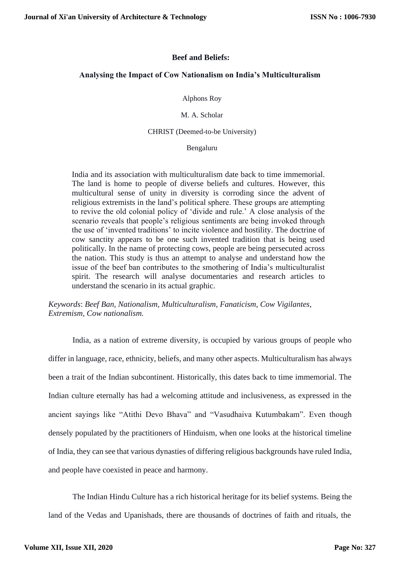### **Beef and Beliefs:**

#### **Analysing the Impact of Cow Nationalism on India's Multiculturalism**

Alphons Roy

M. A. Scholar

CHRIST (Deemed-to-be University)

#### Bengaluru

India and its association with multiculturalism date back to time immemorial. The land is home to people of diverse beliefs and cultures. However, this multicultural sense of unity in diversity is corroding since the advent of religious extremists in the land's political sphere. These groups are attempting to revive the old colonial policy of 'divide and rule.' A close analysis of the scenario reveals that people's religious sentiments are being invoked through the use of 'invented traditions' to incite violence and hostility. The doctrine of cow sanctity appears to be one such invented tradition that is being used politically. In the name of protecting cows, people are being persecuted across the nation. This study is thus an attempt to analyse and understand how the issue of the beef ban contributes to the smothering of India's multiculturalist spirit. The research will analyse documentaries and research articles to understand the scenario in its actual graphic.

*Keywords*: *Beef Ban, Nationalism, Multiculturalism, Fanaticism, Cow Vigilantes, Extremism, Cow nationalism.*

India, as a nation of extreme diversity, is occupied by various groups of people who differ in language, race, ethnicity, beliefs, and many other aspects. Multiculturalism has always been a trait of the Indian subcontinent. Historically, this dates back to time immemorial. The Indian culture eternally has had a welcoming attitude and inclusiveness, as expressed in the ancient sayings like "Atithi Devo Bhava" and "Vasudhaiva Kutumbakam". Even though densely populated by the practitioners of Hinduism, when one looks at the historical timeline of India, they can see that various dynasties of differing religious backgrounds have ruled India, and people have coexisted in peace and harmony.

The Indian Hindu Culture has a rich historical heritage for its belief systems. Being the land of the Vedas and Upanishads, there are thousands of doctrines of faith and rituals, the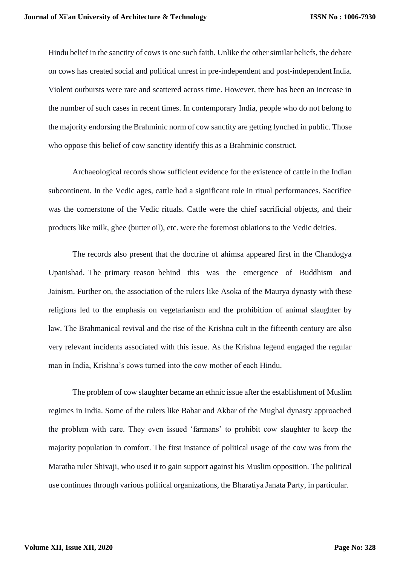Hindu belief in the sanctity of cows is one such faith. Unlike the other similar beliefs, the debate on cows has created social and political unrest in pre-independent and post-independent India. Violent outbursts were rare and scattered across time. However, there has been an increase in the number of such cases in recent times. In contemporary India, people who do not belong to the majority endorsing the Brahminic norm of cow sanctity are getting lynched in public. Those who oppose this belief of cow sanctity identify this as a Brahminic construct.

Archaeological records show sufficient evidence for the existence of cattle in the Indian subcontinent. In the Vedic ages, cattle had a significant role in ritual performances. Sacrifice was the cornerstone of the Vedic rituals. Cattle were the chief sacrificial objects, and their products like milk, ghee (butter oil), etc. were the foremost oblations to the Vedic deities.

The records also present that the doctrine of ahimsa appeared first in the Chandogya Upanishad. The primary reason behind this was the emergence of Buddhism and Jainism. Further on, the association of the rulers like Asoka of the Maurya dynasty with these religions led to the emphasis on vegetarianism and the prohibition of animal slaughter by law. The Brahmanical revival and the rise of the Krishna cult in the fifteenth century are also very relevant incidents associated with this issue. As the Krishna legend engaged the regular man in India, Krishna's cows turned into the cow mother of each Hindu.

The problem of cow slaughter became an ethnic issue after the establishment of Muslim regimes in India. Some of the rulers like Babar and Akbar of the Mughal dynasty approached the problem with care. They even issued 'farmans' to prohibit cow slaughter to keep the majority population in comfort. The first instance of political usage of the cow was from the Maratha ruler Shivaji, who used it to gain support against his Muslim opposition. The political use continues through various political organizations, the Bharatiya Janata Party, in particular.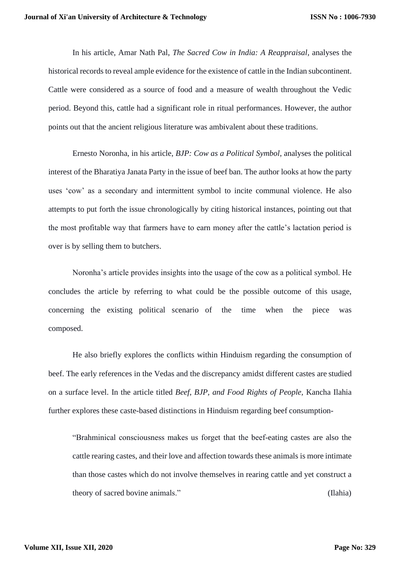In his article, Amar Nath Pal, *The Sacred Cow in India: A Reappraisal*, analyses the historical records to reveal ample evidence for the existence of cattle in the Indian subcontinent. Cattle were considered as a source of food and a measure of wealth throughout the Vedic period. Beyond this, cattle had a significant role in ritual performances. However, the author points out that the ancient religious literature was ambivalent about these traditions.

Ernesto Noronha, in his article, *BJP: Cow as a Political Symbol*, analyses the political interest of the Bharatiya Janata Party in the issue of beef ban. The author looks at how the party uses 'cow' as a secondary and intermittent symbol to incite communal violence. He also attempts to put forth the issue chronologically by citing historical instances, pointing out that the most profitable way that farmers have to earn money after the cattle's lactation period is over is by selling them to butchers.

Noronha's article provides insights into the usage of the cow as a political symbol. He concludes the article by referring to what could be the possible outcome of this usage, concerning the existing political scenario of the time when the piece was composed.

He also briefly explores the conflicts within Hinduism regarding the consumption of beef. The early references in the Vedas and the discrepancy amidst different castes are studied on a surface level. In the article titled *Beef, BJP, and Food Rights of People,* Kancha Ilahia further explores these caste-based distinctions in Hinduism regarding beef consumption-

"Brahminical consciousness makes us forget that the beef-eating castes are also the cattle rearing castes, and their love and affection towards these animals is more intimate than those castes which do not involve themselves in rearing cattle and yet construct a theory of sacred bovine animals." (Ilahia)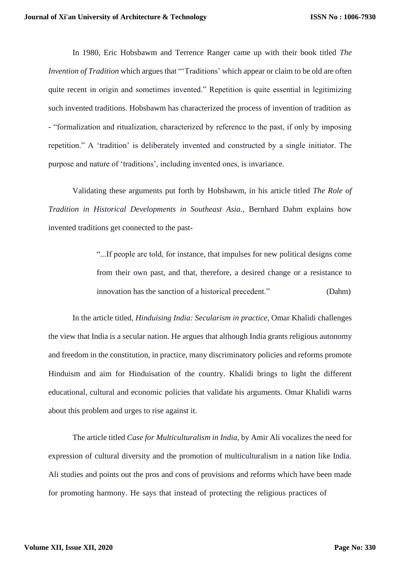In 1980, Eric Hobsbawm and Terrence Ranger came up with their book titled *The Invention of Tradition* which argues that "'Traditions' which appear or claim to be old are often quite recent in origin and sometimes invented." Repetition is quite essential in legitimizing such invented traditions. Hobsbawm has characterized the process of invention of tradition as - "formalization and ritualization, characterized by reference to the past, if only by imposing repetition." A 'tradition' is deliberately invented and constructed by a single initiator. The purpose and nature of 'traditions', including invented ones, is invariance.

Validating these arguments put forth by Hobsbawm, in his article titled *The Role of Tradition in Historical Developments in Southeast Asia.*, Bernhard Dahm explains how invented traditions get connected to the past-

> "...If people are told, for instance, that impulses for new political designs come from their own past, and that, therefore, a desired change or a resistance to innovation has the sanction of a historical precedent." (Dahm)

In the article titled, *Hinduising India: Secularism in practice*, Omar Khalidi challenges the view that India is a secular nation. He argues that although India grants religious autonomy and freedom in the constitution, in practice, many discriminatory policies and reforms promote Hinduism and aim for Hinduisation of the country. Khalidi brings to light the different educational, cultural and economic policies that validate his arguments. Omar Khalidi warns about this problem and urges to rise against it.

The article titled *Case for Multiculturalism in India*, by Amir Ali vocalizes the need for expression of cultural diversity and the promotion of multiculturalism in a nation like India. Ali studies and points out the pros and cons of provisions and reforms which have been made for promoting harmony. He says that instead of protecting the religious practices of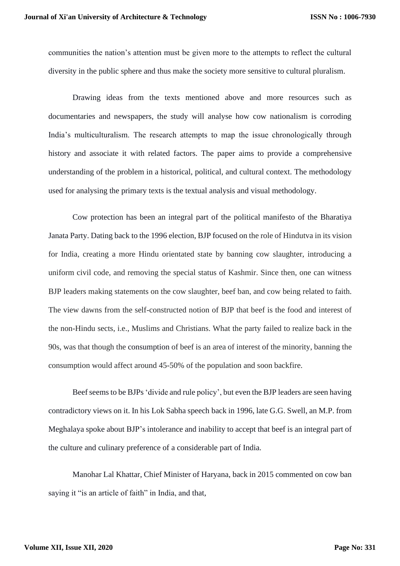communities the nation's attention must be given more to the attempts to reflect the cultural diversity in the public sphere and thus make the society more sensitive to cultural pluralism.

Drawing ideas from the texts mentioned above and more resources such as documentaries and newspapers, the study will analyse how cow nationalism is corroding India's multiculturalism. The research attempts to map the issue chronologically through history and associate it with related factors. The paper aims to provide a comprehensive understanding of the problem in a historical, political, and cultural context. The methodology used for analysing the primary texts is the textual analysis and visual methodology.

Cow protection has been an integral part of the political manifesto of the Bharatiya Janata Party. Dating back to the 1996 election, BJP focused on the role of Hindutva in its vision for India, creating a more Hindu orientated state by banning cow slaughter, introducing a uniform civil code, and removing the special status of Kashmir. Since then, one can witness BJP leaders making statements on the cow slaughter, beef ban, and cow being related to faith. The view dawns from the self-constructed notion of BJP that beef is the food and interest of the non-Hindu sects, i.e., Muslims and Christians. What the party failed to realize back in the 90s, was that though the consumption of beef is an area of interest of the minority, banning the consumption would affect around 45-50% of the population and soon backfire.

Beef seems to be BJPs 'divide and rule policy', but even the BJP leaders are seen having contradictory views on it. In his Lok Sabha speech back in 1996, late G.G. Swell, an M.P. from Meghalaya spoke about BJP's intolerance and inability to accept that beef is an integral part of the culture and culinary preference of a considerable part of India.

Manohar Lal Khattar, Chief Minister of Haryana, back in 2015 commented on cow ban saying it "is an article of faith" in India, and that,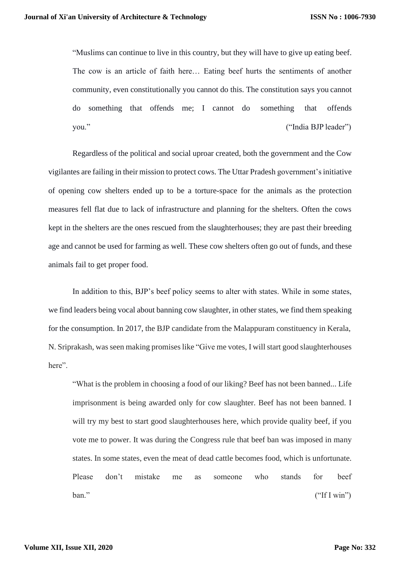"Muslims can continue to live in this country, but they will have to give up eating beef. The cow is an article of faith here… Eating beef hurts the sentiments of another community, even constitutionally you cannot do this. The constitution says you cannot do something that offends me; I cannot do something that offends you." ("India BJP leader")

Regardless of the political and social uproar created, both the government and the Cow vigilantes are failing in their mission to protect cows. The Uttar Pradesh government'sinitiative of opening cow shelters ended up to be a torture-space for the animals as the protection measures fell flat due to lack of infrastructure and planning for the shelters. Often the cows kept in the shelters are the ones rescued from the slaughterhouses; they are past their breeding age and cannot be used for farming as well. These cow shelters often go out of funds, and these animals fail to get proper food.

In addition to this, BJP's beef policy seems to alter with states. While in some states, we find leaders being vocal about banning cow slaughter, in other states, we find them speaking for the consumption. In 2017, the BJP candidate from the Malappuram constituency in Kerala, N. Sriprakash, was seen making promises like "Give me votes, I will start good slaughterhouses here".

"What is the problem in choosing a food of our liking? Beef has not been banned... Life imprisonment is being awarded only for cow slaughter. Beef has not been banned. I will try my best to start good slaughterhouses here, which provide quality beef, if you vote me to power. It was during the Congress rule that beef ban was imposed in many states. In some states, even the meat of dead cattle becomes food, which is unfortunate. Please don't mistake me as someone who stands for beef  $ban."$  ("If I win")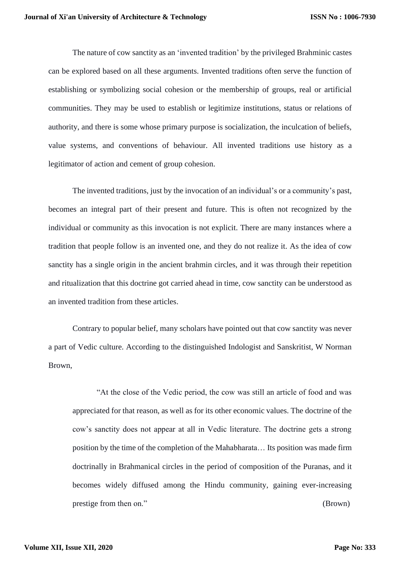The nature of cow sanctity as an 'invented tradition' by the privileged Brahminic castes can be explored based on all these arguments. Invented traditions often serve the function of establishing or symbolizing social cohesion or the membership of groups, real or artificial communities. They may be used to establish or legitimize institutions, status or relations of authority, and there is some whose primary purpose is socialization, the inculcation of beliefs, value systems, and conventions of behaviour. All invented traditions use history as a legitimator of action and cement of group cohesion.

The invented traditions, just by the invocation of an individual's or a community's past, becomes an integral part of their present and future. This is often not recognized by the individual or community as this invocation is not explicit. There are many instances where a tradition that people follow is an invented one, and they do not realize it. As the idea of cow sanctity has a single origin in the ancient brahmin circles, and it was through their repetition and ritualization that this doctrine got carried ahead in time, cow sanctity can be understood as an invented tradition from these articles.

Contrary to popular belief, many scholars have pointed out that cow sanctity was never a part of Vedic culture. According to the distinguished Indologist and Sanskritist, W Norman Brown,

"At the close of the Vedic period, the cow was still an article of food and was appreciated for that reason, as well as for its other economic values. The doctrine of the cow's sanctity does not appear at all in Vedic literature. The doctrine gets a strong position by the time of the completion of the Mahabharata… Its position was made firm doctrinally in Brahmanical circles in the period of composition of the Puranas, and it becomes widely diffused among the Hindu community, gaining ever-increasing prestige from then on." (Brown)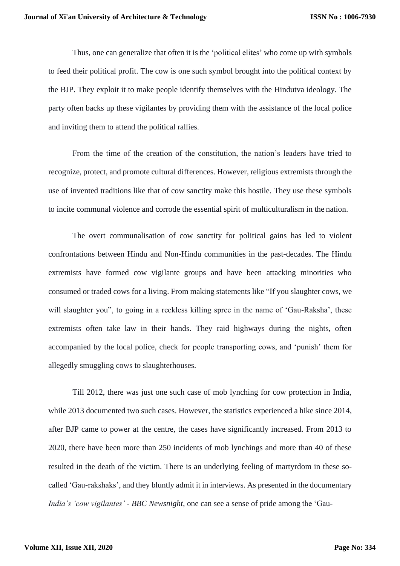Thus, one can generalize that often it is the 'political elites' who come up with symbols to feed their political profit. The cow is one such symbol brought into the political context by the BJP. They exploit it to make people identify themselves with the Hindutva ideology. The party often backs up these vigilantes by providing them with the assistance of the local police and inviting them to attend the political rallies.

From the time of the creation of the constitution, the nation's leaders have tried to recognize, protect, and promote cultural differences. However, religious extremists through the use of invented traditions like that of cow sanctity make this hostile. They use these symbols to incite communal violence and corrode the essential spirit of multiculturalism in the nation.

The overt communalisation of cow sanctity for political gains has led to violent confrontations between Hindu and Non-Hindu communities in the past-decades. The Hindu extremists have formed cow vigilante groups and have been attacking minorities who consumed or traded cows for a living. From making statements like "If you slaughter cows, we will slaughter you", to going in a reckless killing spree in the name of 'Gau-Raksha', these extremists often take law in their hands. They raid highways during the nights, often accompanied by the local police, check for people transporting cows, and 'punish' them for allegedly smuggling cows to slaughterhouses.

Till 2012, there was just one such case of mob lynching for cow protection in India, while 2013 documented two such cases. However, the statistics experienced a hike since 2014, after BJP came to power at the centre, the cases have significantly increased. From 2013 to 2020, there have been more than 250 incidents of mob lynchings and more than 40 of these resulted in the death of the victim. There is an underlying feeling of martyrdom in these socalled 'Gau-rakshaks', and they bluntly admit it in interviews. As presented in the documentary *India's 'cow vigilantes' - BBC Newsnight*, one can see a sense of pride among the 'Gau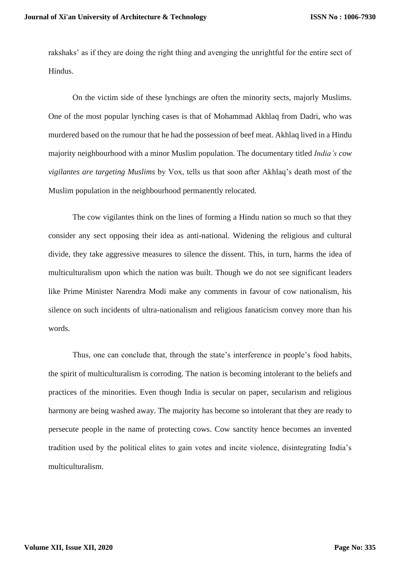rakshaks' as if they are doing the right thing and avenging the unrightful for the entire sect of Hindus.

On the victim side of these lynchings are often the minority sects, majorly Muslims. One of the most popular lynching cases is that of Mohammad Akhlaq from Dadri, who was murdered based on the rumour that he had the possession of beef meat. Akhlaq lived in a Hindu majority neighbourhood with a minor Muslim population. The documentary titled *India's cow vigilantes are targeting Muslims* by Vox, tells us that soon after Akhlaq's death most of the Muslim population in the neighbourhood permanently relocated.

The cow vigilantes think on the lines of forming a Hindu nation so much so that they consider any sect opposing their idea as anti-national. Widening the religious and cultural divide, they take aggressive measures to silence the dissent. This, in turn, harms the idea of multiculturalism upon which the nation was built. Though we do not see significant leaders like Prime Minister Narendra Modi make any comments in favour of cow nationalism, his silence on such incidents of ultra-nationalism and religious fanaticism convey more than his words.

Thus, one can conclude that, through the state's interference in people's food habits, the spirit of multiculturalism is corroding. The nation is becoming intolerant to the beliefs and practices of the minorities. Even though India is secular on paper, secularism and religious harmony are being washed away. The majority has become so intolerant that they are ready to persecute people in the name of protecting cows. Cow sanctity hence becomes an invented tradition used by the political elites to gain votes and incite violence, disintegrating India's multiculturalism.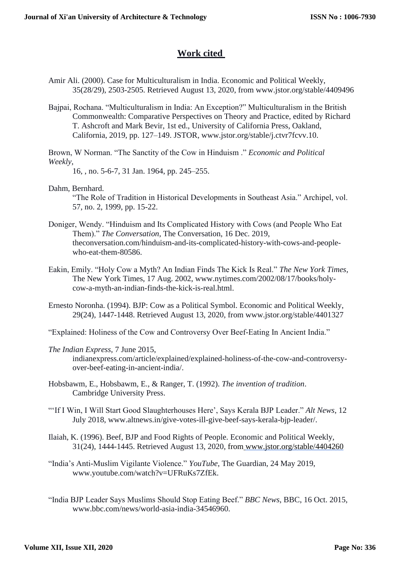# **Work cited**

- Amir Ali. (2000). Case for Multiculturalism in India. Economic and Political Weekly, 35(28/29), 2503-2505. Retrieved August 13, 2020, from [www.jstor.org/stable/4409496](http://www.jstor.org/stable/4409496)
- Bajpai, Rochana. "Multiculturalism in India: An Exception?" Multiculturalism in the British Commonwealth: Comparative Perspectives on Theory and Practice, edited by Richard T. Ashcroft and Mark Bevir, 1st ed., University of California Press, Oakland, California, 2019, pp. 127–149. JST[OR, www.jstor.org/stable/j.ctvr7fcvv.10.](http://www.jstor.org/stable/j.ctvr7fcvv.10)

Brown, W Norman. "The Sanctity of the Cow in Hinduism ." *Economic and Political Weekly*,

16, , no. 5-6-7, 31 Jan. 1964, pp. 245–255.

- Dahm, Bernhard. "The Role of Tradition in Historical Developments in Southeast Asia." Archipel, vol. 57, no. 2, 1999, pp. 15-22.
- Doniger, Wendy. "Hinduism and Its Complicated History with Cows (and People Who Eat Them)." *The Conversation*, The Conversation, 16 Dec. 2019, theconversation.com/hinduism-and-its-complicated-history-with-cows-and-peoplewho-eat-them-80586.
- Eakin, Emily. "Holy Cow a Myth? An Indian Finds The Kick Is Real." *The New York Times*, The New York Times, 17 [Aug. 2002, www.nytimes.com/2002/08/17/books/holy](http://www.nytimes.com/2002/08/17/books/holy-)cow-a-myth-an-indian-finds-the-kick-is-real.html.
- Ernesto Noronha. (1994). BJP: Cow as a Political Symbol. Economic and Political Weekly, 29(24), 1447-1448. Retrieved August 13, 2020, f[rom www.jstor.org/stable/4401327](http://www.jstor.org/stable/4401327)
- "Explained: Holiness of the Cow and Controversy Over Beef-Eating In Ancient India."
- *The Indian Express*, 7 June 2015,

indianexpress.com/article/explained/explained-holiness-of-the-cow-and-controversyover-beef-eating-in-ancient-india/.

- Hobsbawm, E., Hobsbawm, E., & Ranger, T. (1992). *The invention of tradition*. Cambridge University Press.
- "'If I Win, I Will Start Good Slaughterhouses Here', Says Kerala BJP Leader." *Alt News*, 12 [July 2018, www.altnews.in/give-votes-ill-give-beef-says-kerala-bjp-leader/.](http://www.altnews.in/give-votes-ill-give-beef-says-kerala-bjp-leader/)
- Ilaiah, K. (1996). Beef, BJP and Food Rights of People. Economic and Political Weekly, 31(24), 1444-1445. Retrieved August 13, 2020, from [www.jstor.org/stable/4404260](http://www.jstor.org/stable/4404260)
- "India's Anti-Muslim Vigilante Violence." *YouTube*, The Guardian, 24 May 2019[,](http://www.youtube.com/watch?v=UFRuKs7ZfEk) [www.youtube.com/watch?v=UFRuKs7ZfEk.](http://www.youtube.com/watch?v=UFRuKs7ZfEk)
- "India BJP Leader Says Muslims Should Stop Eating Beef." *BBC News*, BBC, 16 Oct. 2015[,](http://www.bbc.com/news/world-asia-india-34546960) [www.bbc.com/news/world-asia-india-34546960.](http://www.bbc.com/news/world-asia-india-34546960)